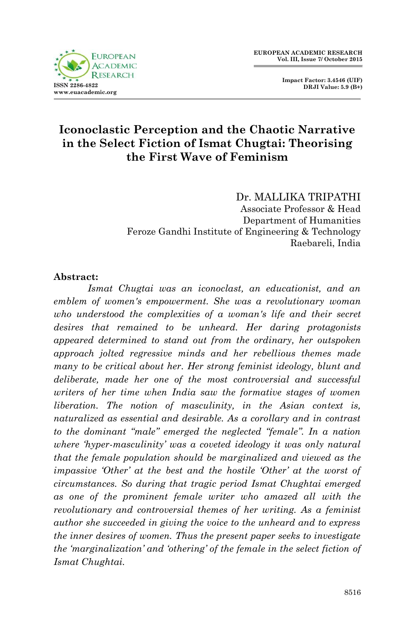

 **Impact Factor: 3.4546 (UIF) DRJI Value: 5.9 (B+)**

## **Iconoclastic Perception and the Chaotic Narrative in the Select Fiction of Ismat Chugtai: Theorising the First Wave of Feminism**

Dr. MALLIKA TRIPATHI Associate Professor & Head Department of Humanities Feroze Gandhi Institute of Engineering & Technology Raebareli, India

## **Abstract:**

*Ismat Chugtai was an iconoclast, an educationist, and an emblem of women's empowerment. She was a revolutionary woman who understood the complexities of a woman's life and their secret desires that remained to be unheard. Her daring protagonists appeared determined to stand out from the ordinary, her outspoken approach jolted regressive minds and her rebellious themes made many to be critical about her. Her strong feminist ideology, blunt and deliberate, made her one of the most controversial and successful writers of her time when India saw the formative stages of women liberation. The notion of masculinity, in the Asian context is, naturalized as essential and desirable. As a corollary and in contrast to the dominant "male" emerged the neglected "female". In a nation where "hyper-masculinity" was a coveted ideology it was only natural that the female population should be marginalized and viewed as the impassive "Other" at the best and the hostile "Other" at the worst of circumstances. So during that tragic period Ismat Chughtai emerged as one of the prominent female writer who amazed all with the revolutionary and controversial themes of her writing. As a feminist author she succeeded in giving the voice to the unheard and to express the inner desires of women. Thus the present paper seeks to investigate the "marginalization" and "othering" of the female in the select fiction of Ismat Chughtai.*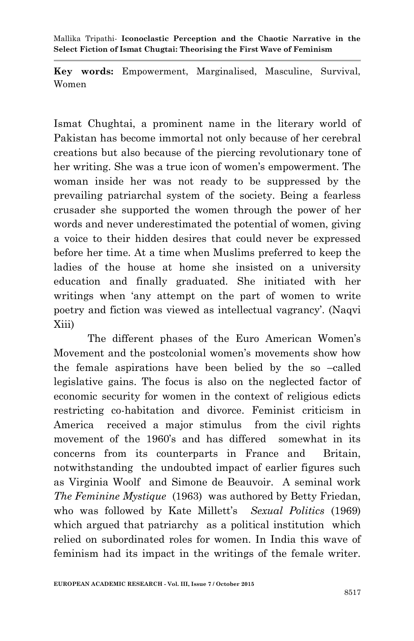**Key words:** Empowerment, Marginalised, Masculine, Survival, Women

Ismat Chughtai, a prominent name in the literary world of Pakistan has become immortal not only because of her cerebral creations but also because of the piercing revolutionary tone of her writing. She was a true icon of women's empowerment. The woman inside her was not ready to be suppressed by the prevailing patriarchal system of the society. Being a fearless crusader she supported the women through the power of her words and never underestimated the potential of women, giving a voice to their hidden desires that could never be expressed before her time. At a time when Muslims preferred to keep the ladies of the house at home she insisted on a university education and finally graduated. She initiated with her writings when "any attempt on the part of women to write poetry and fiction was viewed as intellectual vagrancy". (Naqvi Xiii)

The different phases of the Euro American Women"s Movement and the postcolonial women"s movements show how the female aspirations have been belied by the so –called legislative gains. The focus is also on the neglected factor of economic security for women in the context of religious edicts restricting co-habitation and divorce. Feminist criticism in America received a major stimulus from the civil rights movement of the 1960"s and has differed somewhat in its concerns from its counterparts in France and Britain, notwithstanding the undoubted impact of earlier figures such as Virginia Woolf and Simone de Beauvoir. A seminal work *The Feminine Mystique* (1963) was authored by Betty Friedan, who was followed by Kate Millett's *Sexual Politics* (1969) which argued that patriarchy as a political institution which relied on subordinated roles for women. In India this wave of feminism had its impact in the writings of the female writer.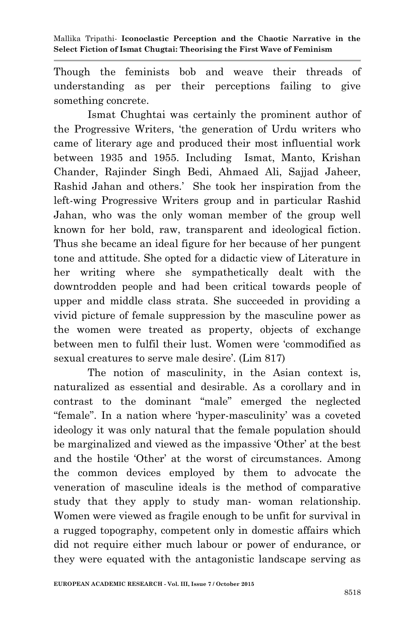Though the feminists bob and weave their threads of understanding as per their perceptions failing to give something concrete.

Ismat Chughtai was certainly the prominent author of the Progressive Writers, "the generation of Urdu writers who came of literary age and produced their most influential work between 1935 and 1955. Including Ismat, Manto, Krishan Chander, Rajinder Singh Bedi, Ahmaed Ali, Sajjad Jaheer, Rashid Jahan and others." She took her inspiration from the left-wing Progressive Writers group and in particular Rashid Jahan, who was the only woman member of the group well known for her bold, raw, transparent and ideological fiction. Thus she became an ideal figure for her because of her pungent tone and attitude. She opted for a didactic view of Literature in her writing where she sympathetically dealt with the downtrodden people and had been critical towards people of upper and middle class strata. She succeeded in providing a vivid picture of female suppression by the masculine power as the women were treated as property, objects of exchange between men to fulfil their lust. Women were "commodified as sexual creatures to serve male desire'. (Lim 817)

The notion of masculinity, in the Asian context is, naturalized as essential and desirable. As a corollary and in contrast to the dominant "male" emerged the neglected "female". In a nation where "hyper-masculinity" was a coveted ideology it was only natural that the female population should be marginalized and viewed as the impassive "Other" at the best and the hostile "Other" at the worst of circumstances. Among the common devices employed by them to advocate the veneration of masculine ideals is the method of comparative study that they apply to study man- woman relationship. Women were viewed as fragile enough to be unfit for survival in a rugged topography, competent only in domestic affairs which did not require either much labour or power of endurance, or they were equated with the antagonistic landscape serving as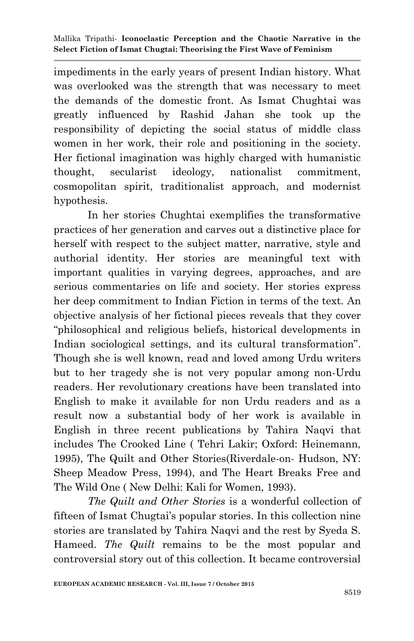impediments in the early years of present Indian history. What was overlooked was the strength that was necessary to meet the demands of the domestic front. As Ismat Chughtai was greatly influenced by Rashid Jahan she took up the responsibility of depicting the social status of middle class women in her work, their role and positioning in the society. Her fictional imagination was highly charged with humanistic thought, secularist ideology, nationalist commitment, cosmopolitan spirit, traditionalist approach, and modernist hypothesis.

In her stories Chughtai exemplifies the transformative practices of her generation and carves out a distinctive place for herself with respect to the subject matter, narrative, style and authorial identity. Her stories are meaningful text with important qualities in varying degrees, approaches, and are serious commentaries on life and society. Her stories express her deep commitment to Indian Fiction in terms of the text. An objective analysis of her fictional pieces reveals that they cover "philosophical and religious beliefs, historical developments in Indian sociological settings, and its cultural transformation". Though she is well known, read and loved among Urdu writers but to her tragedy she is not very popular among non-Urdu readers. Her revolutionary creations have been translated into English to make it available for non Urdu readers and as a result now a substantial body of her work is available in English in three recent publications by Tahira Naqvi that includes The Crooked Line ( Tehri Lakir; Oxford: Heinemann, 1995), The Quilt and Other Stories(Riverdale-on- Hudson, NY: Sheep Meadow Press, 1994), and The Heart Breaks Free and The Wild One ( New Delhi: Kali for Women, 1993).

*The Quilt and Other Stories* is a wonderful collection of fifteen of Ismat Chugtai's popular stories. In this collection nine stories are translated by Tahira Naqvi and the rest by Syeda S. Hameed. *The Quilt* remains to be the most popular and controversial story out of this collection. It became controversial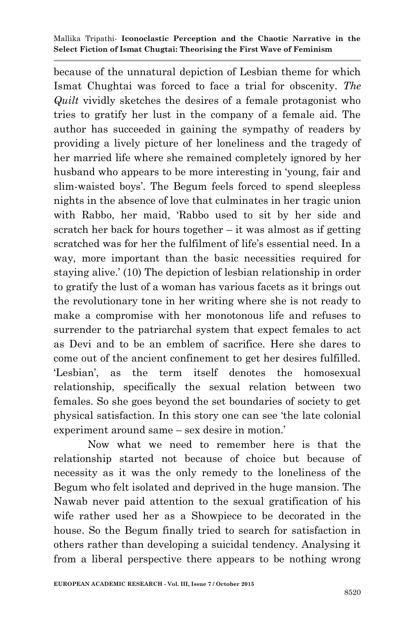because of the unnatural depiction of Lesbian theme for which Ismat Chughtai was forced to face a trial for obscenity. *The Quilt* vividly sketches the desires of a female protagonist who tries to gratify her lust in the company of a female aid. The author has succeeded in gaining the sympathy of readers by providing a lively picture of her loneliness and the tragedy of her married life where she remained completely ignored by her husband who appears to be more interesting in "young, fair and slim-waisted boys'. The Begum feels forced to spend sleepless nights in the absence of love that culminates in her tragic union with Rabbo, her maid, "Rabbo used to sit by her side and scratch her back for hours together – it was almost as if getting scratched was for her the fulfilment of life's essential need. In a way, more important than the basic necessities required for staying alive.' (10) The depiction of lesbian relationship in order to gratify the lust of a woman has various facets as it brings out the revolutionary tone in her writing where she is not ready to make a compromise with her monotonous life and refuses to surrender to the patriarchal system that expect females to act as Devi and to be an emblem of sacrifice. Here she dares to come out of the ancient confinement to get her desires fulfilled. "Lesbian", as the term itself denotes the homosexual relationship, specifically the sexual relation between two females. So she goes beyond the set boundaries of society to get physical satisfaction. In this story one can see "the late colonial experiment around same – sex desire in motion."

Now what we need to remember here is that the relationship started not because of choice but because of necessity as it was the only remedy to the loneliness of the Begum who felt isolated and deprived in the huge mansion. The Nawab never paid attention to the sexual gratification of his wife rather used her as a Showpiece to be decorated in the house. So the Begum finally tried to search for satisfaction in others rather than developing a suicidal tendency. Analysing it from a liberal perspective there appears to be nothing wrong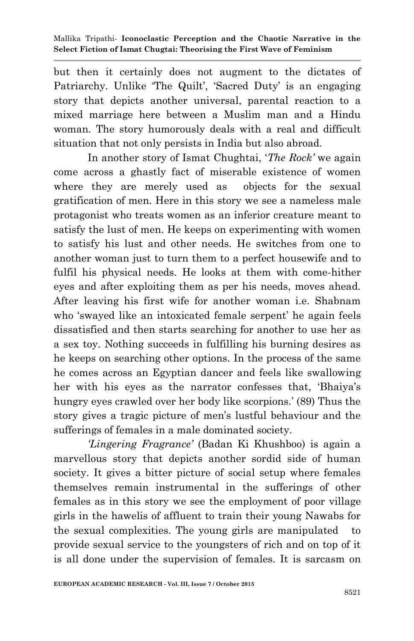but then it certainly does not augment to the dictates of Patriarchy. Unlike The Quilt', 'Sacred Duty' is an engaging story that depicts another universal, parental reaction to a mixed marriage here between a Muslim man and a Hindu woman. The story humorously deals with a real and difficult situation that not only persists in India but also abroad.

In another story of Ismat Chughtai, "*The Rock"* we again come across a ghastly fact of miserable existence of women where they are merely used as objects for the sexual gratification of men. Here in this story we see a nameless male protagonist who treats women as an inferior creature meant to satisfy the lust of men. He keeps on experimenting with women to satisfy his lust and other needs. He switches from one to another woman just to turn them to a perfect housewife and to fulfil his physical needs. He looks at them with come-hither eyes and after exploiting them as per his needs, moves ahead. After leaving his first wife for another woman i.e. Shabnam who 'swayed like an intoxicated female serpent' he again feels dissatisfied and then starts searching for another to use her as a sex toy. Nothing succeeds in fulfilling his burning desires as he keeps on searching other options. In the process of the same he comes across an Egyptian dancer and feels like swallowing her with his eyes as the narrator confesses that, "Bhaiya"s hungry eyes crawled over her body like scorpions.' (89) Thus the story gives a tragic picture of men"s lustful behaviour and the sufferings of females in a male dominated society.

*"Lingering Fragrance"* (Badan Ki Khushboo) is again a marvellous story that depicts another sordid side of human society. It gives a bitter picture of social setup where females themselves remain instrumental in the sufferings of other females as in this story we see the employment of poor village girls in the hawelis of affluent to train their young Nawabs for the sexual complexities. The young girls are manipulated to provide sexual service to the youngsters of rich and on top of it is all done under the supervision of females. It is sarcasm on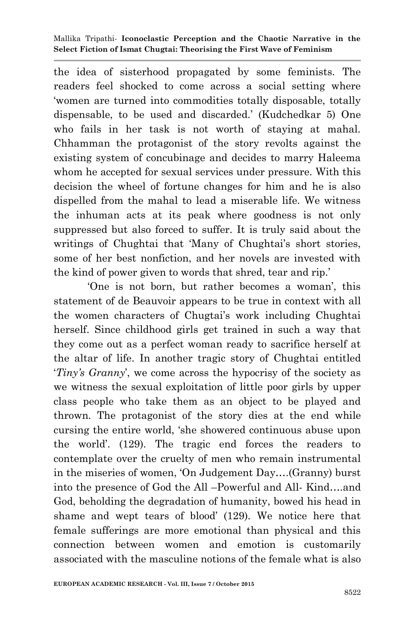the idea of sisterhood propagated by some feminists. The readers feel shocked to come across a social setting where "women are turned into commodities totally disposable, totally dispensable, to be used and discarded." (Kudchedkar 5) One who fails in her task is not worth of staying at mahal. Chhamman the protagonist of the story revolts against the existing system of concubinage and decides to marry Haleema whom he accepted for sexual services under pressure. With this decision the wheel of fortune changes for him and he is also dispelled from the mahal to lead a miserable life. We witness the inhuman acts at its peak where goodness is not only suppressed but also forced to suffer. It is truly said about the writings of Chughtai that 'Many of Chughtai's short stories, some of her best nonfiction, and her novels are invested with the kind of power given to words that shred, tear and rip."

"One is not born, but rather becomes a woman", this statement of de Beauvoir appears to be true in context with all the women characters of Chugtai"s work including Chughtai herself. Since childhood girls get trained in such a way that they come out as a perfect woman ready to sacrifice herself at the altar of life. In another tragic story of Chughtai entitled "*Tiny"s Granny*", we come across the hypocrisy of the society as we witness the sexual exploitation of little poor girls by upper class people who take them as an object to be played and thrown. The protagonist of the story dies at the end while cursing the entire world, "she showered continuous abuse upon the world". (129). The tragic end forces the readers to contemplate over the cruelty of men who remain instrumental in the miseries of women, "On Judgement Day….(Granny) burst into the presence of God the All –Powerful and All- Kind….and God, beholding the degradation of humanity, bowed his head in shame and wept tears of blood" (129). We notice here that female sufferings are more emotional than physical and this connection between women and emotion is customarily associated with the masculine notions of the female what is also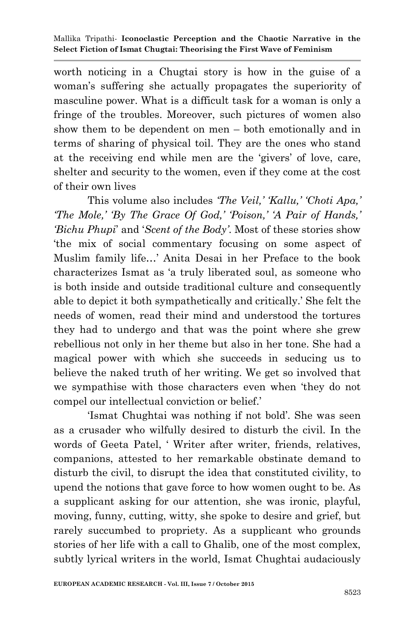worth noticing in a Chugtai story is how in the guise of a woman"s suffering she actually propagates the superiority of masculine power. What is a difficult task for a woman is only a fringe of the troubles. Moreover, such pictures of women also show them to be dependent on men – both emotionally and in terms of sharing of physical toil. They are the ones who stand at the receiving end while men are the "givers" of love, care, shelter and security to the women, even if they come at the cost of their own lives

This volume also includes *"The Veil," "Kallu," "Choti Apa," "The Mole," "By The Grace Of God," "Poison," "A Pair of Hands," "Bichu Phupi*" and "*Scent of the Body"*. Most of these stories show "the mix of social commentary focusing on some aspect of Muslim family life…" Anita Desai in her Preface to the book characterizes Ismat as "a truly liberated soul, as someone who is both inside and outside traditional culture and consequently able to depict it both sympathetically and critically." She felt the needs of women, read their mind and understood the tortures they had to undergo and that was the point where she grew rebellious not only in her theme but also in her tone. She had a magical power with which she succeeds in seducing us to believe the naked truth of her writing. We get so involved that we sympathise with those characters even when "they do not compel our intellectual conviction or belief."

"Ismat Chughtai was nothing if not bold". She was seen as a crusader who wilfully desired to disturb the civil. In the words of Geeta Patel, " Writer after writer, friends, relatives, companions, attested to her remarkable obstinate demand to disturb the civil, to disrupt the idea that constituted civility, to upend the notions that gave force to how women ought to be. As a supplicant asking for our attention, she was ironic, playful, moving, funny, cutting, witty, she spoke to desire and grief, but rarely succumbed to propriety. As a supplicant who grounds stories of her life with a call to Ghalib, one of the most complex, subtly lyrical writers in the world, Ismat Chughtai audaciously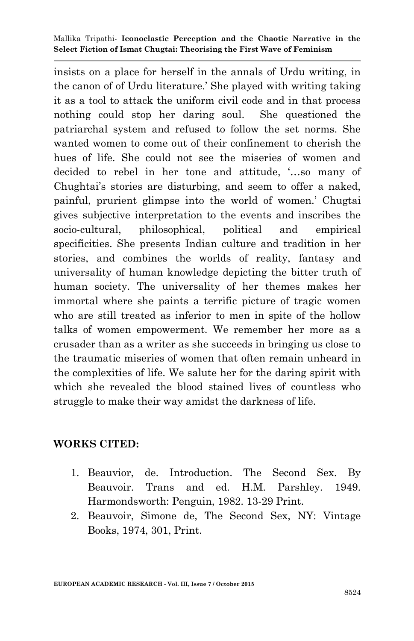insists on a place for herself in the annals of Urdu writing, in the canon of of Urdu literature." She played with writing taking it as a tool to attack the uniform civil code and in that process nothing could stop her daring soul. She questioned the patriarchal system and refused to follow the set norms. She wanted women to come out of their confinement to cherish the hues of life. She could not see the miseries of women and decided to rebel in her tone and attitude, "…so many of Chughtai's stories are disturbing, and seem to offer a naked, painful, prurient glimpse into the world of women." Chugtai gives subjective interpretation to the events and inscribes the socio-cultural, philosophical, political and empirical specificities. She presents Indian culture and tradition in her stories, and combines the worlds of reality, fantasy and universality of human knowledge depicting the bitter truth of human society. The universality of her themes makes her immortal where she paints a terrific picture of tragic women who are still treated as inferior to men in spite of the hollow talks of women empowerment. We remember her more as a crusader than as a writer as she succeeds in bringing us close to the traumatic miseries of women that often remain unheard in the complexities of life. We salute her for the daring spirit with which she revealed the blood stained lives of countless who struggle to make their way amidst the darkness of life.

## **WORKS CITED:**

- 1. Beauvior, de. Introduction. The Second Sex. By Beauvoir. Trans and ed. H.M. Parshley. 1949. Harmondsworth: Penguin, 1982. 13-29 Print.
- 2. Beauvoir, Simone de, The Second Sex, NY: Vintage Books, 1974, 301, Print.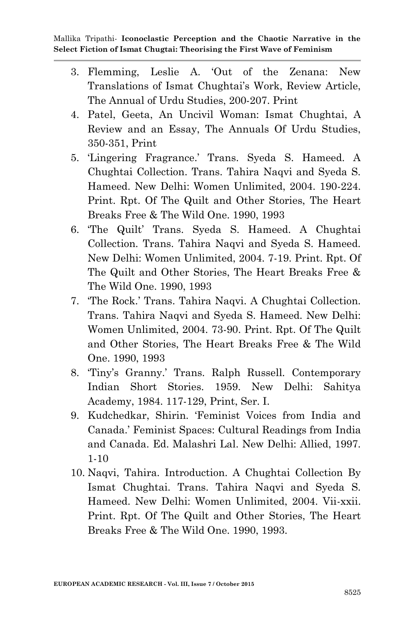- 3. Flemming, Leslie A. "Out of the Zenana: New Translations of Ismat Chughtai"s Work, Review Article, The Annual of Urdu Studies, 200-207. Print
- 4. Patel, Geeta, An Uncivil Woman: Ismat Chughtai, A Review and an Essay, The Annuals Of Urdu Studies, 350-351, Print
- 5. "Lingering Fragrance." Trans. Syeda S. Hameed. A Chughtai Collection. Trans. Tahira Naqvi and Syeda S. Hameed. New Delhi: Women Unlimited, 2004. 190-224. Print. Rpt. Of The Quilt and Other Stories, The Heart Breaks Free & The Wild One. 1990, 1993
- 6. "The Quilt" Trans. Syeda S. Hameed. A Chughtai Collection. Trans. Tahira Naqvi and Syeda S. Hameed. New Delhi: Women Unlimited, 2004. 7-19. Print. Rpt. Of The Quilt and Other Stories, The Heart Breaks Free & The Wild One. 1990, 1993
- 7. "The Rock." Trans. Tahira Naqvi. A Chughtai Collection. Trans. Tahira Naqvi and Syeda S. Hameed. New Delhi: Women Unlimited, 2004. 73-90. Print. Rpt. Of The Quilt and Other Stories, The Heart Breaks Free & The Wild One. 1990, 1993
- 8. "Tiny"s Granny." Trans. Ralph Russell. Contemporary Indian Short Stories. 1959. New Delhi: Sahitya Academy, 1984. 117-129, Print, Ser. I.
- 9. Kudchedkar, Shirin. "Feminist Voices from India and Canada." Feminist Spaces: Cultural Readings from India and Canada. Ed. Malashri Lal. New Delhi: Allied, 1997. 1-10
- 10. Naqvi, Tahira. Introduction. A Chughtai Collection By Ismat Chughtai. Trans. Tahira Naqvi and Syeda S. Hameed. New Delhi: Women Unlimited, 2004. Vii-xxii. Print. Rpt. Of The Quilt and Other Stories, The Heart Breaks Free & The Wild One. 1990, 1993.